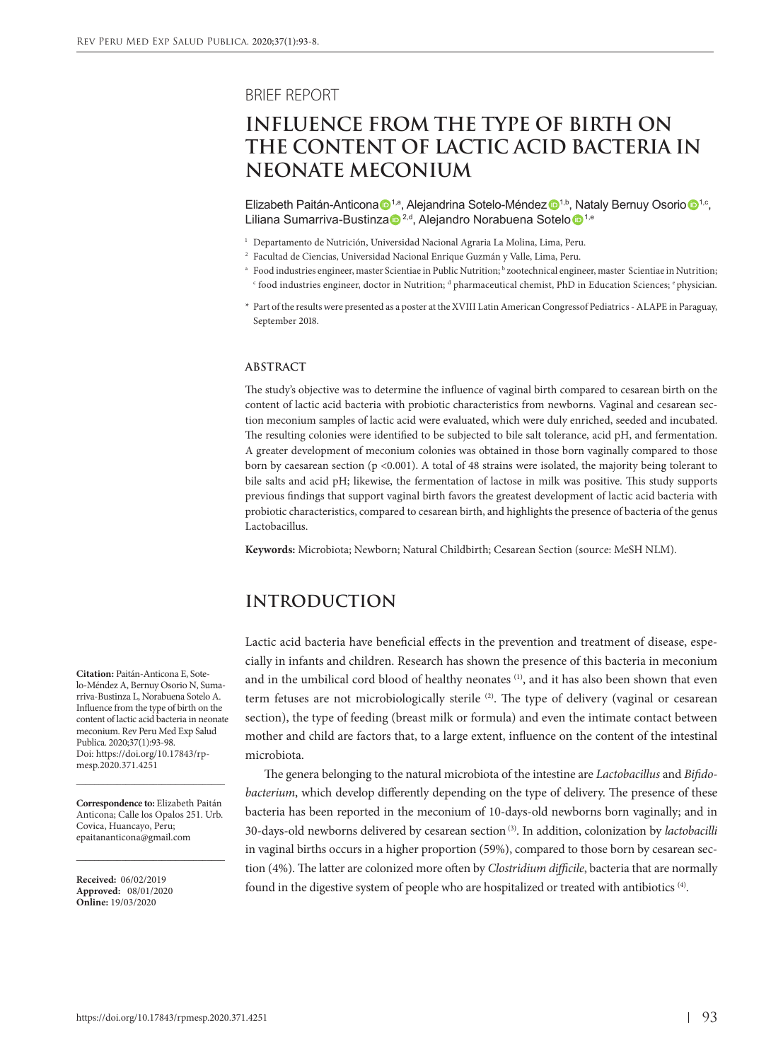BRIEF REPORT

# **INFLUENCE FROM THE TYPE OF BIRTH ON THE CONTENT OF LACTIC ACID BACTERIA IN NEONATE MECONIUM**

Elizabeth Paitán-Anticona  $\mathbf{D}^{1,a}$ , Alejandrina Sotelo-Méndez  $\mathbf{D}^{1,b}$ , Nataly Bernuy Osorio  $\mathbf{D}^{1,c}$ , Liliana Sumarriva-Bustinza <sup>2,d</sup>, Alejandro Norabuena Sotelo <sup>1,e</sup>

- <sup>1</sup> Departamento de Nutrición, Universidad Nacional Agraria La Molina, Lima, Peru.
- <sup>2</sup> Facultad de Ciencias, Universidad Nacional Enrique Guzmán y Valle, Lima, Peru.
- <sup>a</sup> Food industries engineer, master Scientiae in Public Nutrition; <sup>b</sup> zootechnical engineer, master Scientiae in Nutrition;  $\lq$  food industries engineer, doctor in Nutrition; " pharmaceutical chemist, PhD in Education Sciences; ' physician.
- \* Part of the results were presented as a poster at the XVIII Latin American Congressof Pediatrics ALAPE in Paraguay, September 2018.

#### **ABSTRACT**

The study's objective was to determine the influence of vaginal birth compared to cesarean birth on the content of lactic acid bacteria with probiotic characteristics from newborns. Vaginal and cesarean section meconium samples of lactic acid were evaluated, which were duly enriched, seeded and incubated. The resulting colonies were identified to be subjected to bile salt tolerance, acid pH, and fermentation. A greater development of meconium colonies was obtained in those born vaginally compared to those born by caesarean section ( $p < 0.001$ ). A total of 48 strains were isolated, the majority being tolerant to bile salts and acid pH; likewise, the fermentation of lactose in milk was positive. This study supports previous findings that support vaginal birth favors the greatest development of lactic acid bacteria with probiotic characteristics, compared to cesarean birth, and highlights the presence of bacteria of the genus Lactobacillus.

**Keywords:** Microbiota; Newborn; Natural Childbirth; Cesarean Section (source: MeSH NLM).

# **INTRODUCTION**

Lactic acid bacteria have beneficial effects in the prevention and treatment of disease, especially in infants and children. Research has shown the presence of this bacteria in meconium and in the umbilical cord blood of healthy neonates<sup>(1)</sup>, and it has also been shown that even term fetuses are not microbiologically sterile (2). The type of delivery (vaginal or cesarean section), the type of feeding (breast milk or formula) and even the intimate contact between mother and child are factors that, to a large extent, influence on the content of the intestinal microbiota.

The genera belonging to the natural microbiota of the intestine are *Lactobacillus* and *Bifidobacterium*, which develop differently depending on the type of delivery. The presence of these bacteria has been reported in the meconium of 10-days-old newborns born vaginally; and in 30-days-old newborns delivered by cesarean section (3). In addition, colonization by *lactobacilli*  in vaginal births occurs in a higher proportion (59%), compared to those born by cesarean section (4%). The latter are colonized more often by *Clostridium difficile*, bacteria that are normally found in the digestive system of people who are hospitalized or treated with antibiotics (4).

**Citation:** Paitán-Anticona E, Sotelo-Méndez A, Bernuy Osorio N, Sumarriva-Bustinza L, Norabuena Sotelo A. Influence from the type of birth on the content of lactic acid bacteria in neonate meconium. Rev Peru Med Exp Salud Publica. 2020;37(1):93-98. Doi: https://doi.org/10.17843/rpmesp.2020.371.4251

**Correspondence to:** Elizabeth Paitán Anticona; Calle los Opalos 251. Urb. Covica, Huancayo, Peru; [epaitananticona@gmail.com](mailto:epaitananticona@gmail.com)

\_\_\_\_\_\_\_\_\_\_\_\_\_\_\_\_\_\_\_\_\_\_\_\_\_\_\_\_\_\_\_\_\_

\_\_\_\_\_\_\_\_\_\_\_\_\_\_\_\_\_\_\_\_\_\_\_\_\_\_\_\_\_\_\_\_\_

**Received:** 06/02/2019 **Approved:** 08/01/2020 **Online:** 19/03/2020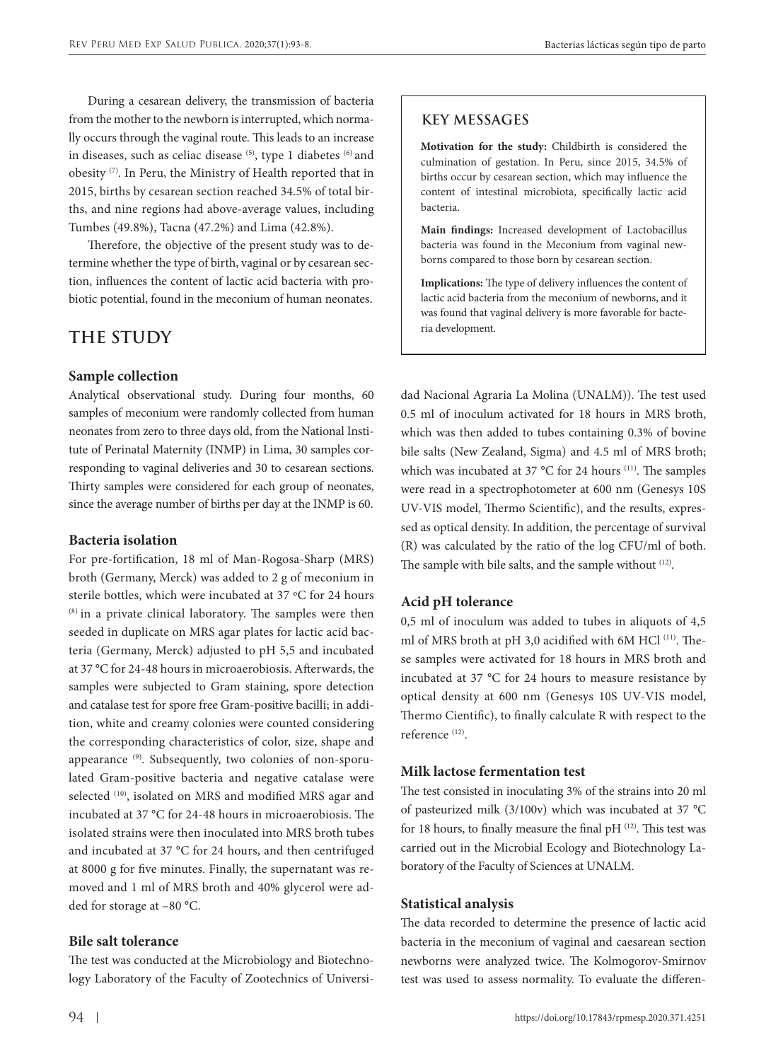During a cesarean delivery, the transmission of bacteria from the mother to the newborn is interrupted, which normally occurs through the vaginal route. This leads to an increase in diseases, such as celiac disease (5), type 1 diabetes (6) and obesity (7). In Peru, the Ministry of Health reported that in 2015, births by cesarean section reached 34.5% of total births, and nine regions had above-average values, including Tumbes (49.8%), Tacna (47.2%) and Lima (42.8%).

Therefore, the objective of the present study was to determine whether the type of birth, vaginal or by cesarean section, influences the content of lactic acid bacteria with probiotic potential, found in the meconium of human neonates.

# **THE STUDY**

## **Sample collection**

Analytical observational study. During four months, 60 samples of meconium were randomly collected from human neonates from zero to three days old, from the National Institute of Perinatal Maternity (INMP) in Lima, 30 samples corresponding to vaginal deliveries and 30 to cesarean sections. Thirty samples were considered for each group of neonates, since the average number of births per day at the INMP is 60.

#### **Bacteria isolation**

For pre-fortification, 18 ml of Man-Rogosa-Sharp (MRS) broth (Germany, Merck) was added to 2 g of meconium in sterile bottles, which were incubated at 37 ºC for 24 hours (8) in a private clinical laboratory. The samples were then seeded in duplicate on MRS agar plates for lactic acid bacteria (Germany, Merck) adjusted to pH 5,5 and incubated at 37 °C for 24-48 hours in microaerobiosis. Afterwards, the samples were subjected to Gram staining, spore detection and catalase test for spore free Gram-positive bacilli; in addition, white and creamy colonies were counted considering the corresponding characteristics of color, size, shape and appearance<sup>(9)</sup>. Subsequently, two colonies of non-sporulated Gram-positive bacteria and negative catalase were selected <sup>(10)</sup>, isolated on MRS and modified MRS agar and incubated at 37 °C for 24-48 hours in microaerobiosis. The isolated strains were then inoculated into MRS broth tubes and incubated at 37 °C for 24 hours, and then centrifuged at 8000 g for five minutes. Finally, the supernatant was removed and 1 ml of MRS broth and 40% glycerol were added for storage at –80 °C.

### **Bile salt tolerance**

The test was conducted at the Microbiology and Biotechnology Laboratory of the Faculty of Zootechnics of Universi-

# **KEY MESSAGES**

**Motivation for the study:** Childbirth is considered the culmination of gestation. In Peru, since 2015, 34.5% of births occur by cesarean section, which may influence the content of intestinal microbiota, specifically lactic acid bacteria.

**Main findings:** Increased development of Lactobacillus bacteria was found in the Meconium from vaginal newborns compared to those born by cesarean section.

**Implications:** The type of delivery influences the content of lactic acid bacteria from the meconium of newborns, and it was found that vaginal delivery is more favorable for bacteria development.

dad Nacional Agraria La Molina (UNALM)). The test used 0.5 ml of inoculum activated for 18 hours in MRS broth, which was then added to tubes containing 0.3% of bovine bile salts (New Zealand, Sigma) and 4.5 ml of MRS broth; which was incubated at 37 °C for 24 hours <sup>(11)</sup>. The samples were read in a spectrophotometer at 600 nm (Genesys 10S UV-VIS model, Thermo Scientific), and the results, expressed as optical density. In addition, the percentage of survival (R) was calculated by the ratio of the log CFU/ml of both. The sample with bile salts, and the sample without (12).

#### **Acid pH tolerance**

0,5 ml of inoculum was added to tubes in aliquots of 4,5 ml of MRS broth at pH 3,0 acidified with 6M HCl (11). These samples were activated for 18 hours in MRS broth and incubated at 37 °C for 24 hours to measure resistance by optical density at 600 nm (Genesys 10S UV-VIS model, Thermo Cientific), to finally calculate R with respect to the reference (12).

### **Milk lactose fermentation test**

The test consisted in inoculating 3% of the strains into 20 ml of pasteurized milk (3/100v) which was incubated at 37 °C for 18 hours, to finally measure the final pH (12). This test was carried out in the Microbial Ecology and Biotechnology Laboratory of the Faculty of Sciences at UNALM.

#### **Statistical analysis**

The data recorded to determine the presence of lactic acid bacteria in the meconium of vaginal and caesarean section newborns were analyzed twice. The Kolmogorov-Smirnov test was used to assess normality. To evaluate the differen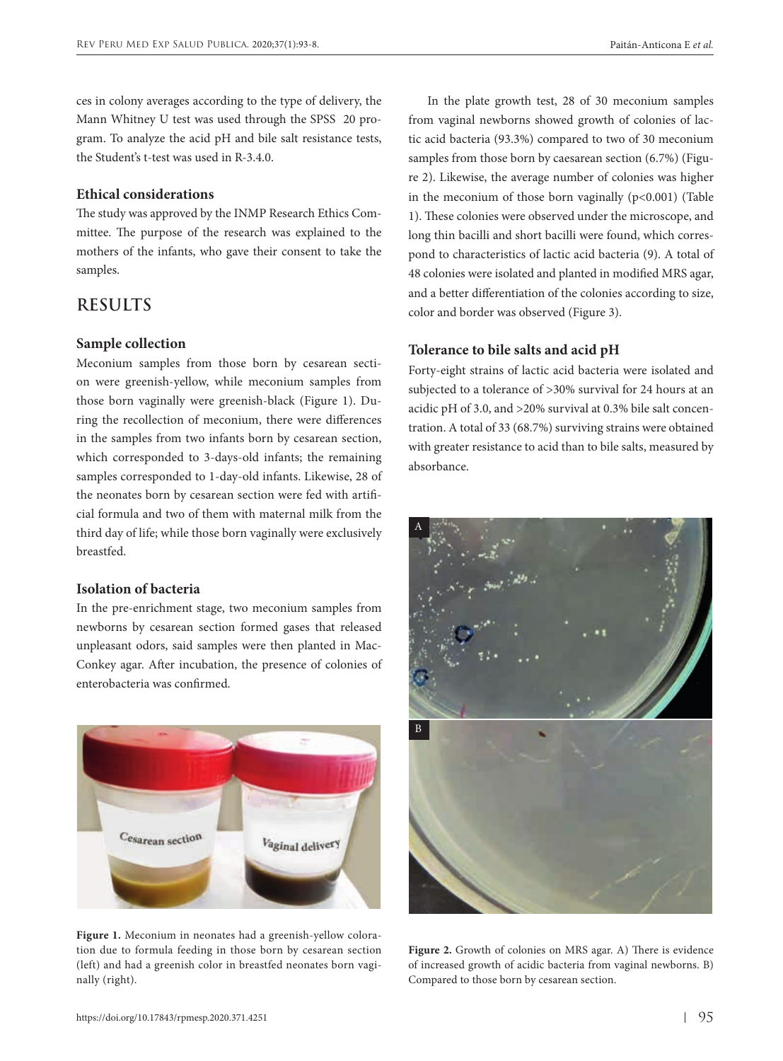ces in colony averages according to the type of delivery, the Mann Whitney U test was used through the SPSS 20 program. To analyze the acid pH and bile salt resistance tests, the Student's t-test was used in R-3.4.0.

### **Ethical considerations**

The study was approved by the INMP Research Ethics Committee. The purpose of the research was explained to the mothers of the infants, who gave their consent to take the samples.

# **RESULTS**

### **Sample collection**

Meconium samples from those born by cesarean section were greenish-yellow, while meconium samples from those born vaginally were greenish-black (Figure 1). During the recollection of meconium, there were differences in the samples from two infants born by cesarean section, which corresponded to 3-days-old infants; the remaining samples corresponded to 1-day-old infants. Likewise, 28 of the neonates born by cesarean section were fed with artificial formula and two of them with maternal milk from the third day of life; while those born vaginally were exclusively breastfed.

## **Isolation of bacteria**

In the pre-enrichment stage, two meconium samples from newborns by cesarean section formed gases that released unpleasant odors, said samples were then planted in Mac-Conkey agar. After incubation, the presence of colonies of enterobacteria was confirmed.



**Figure 1.** Meconium in neonates had a greenish-yellow coloration due to formula feeding in those born by cesarean section (left) and had a greenish color in breastfed neonates born vaginally (right).

In the plate growth test, 28 of 30 meconium samples from vaginal newborns showed growth of colonies of lactic acid bacteria (93.3%) compared to two of 30 meconium samples from those born by caesarean section (6.7%) (Figure 2). Likewise, the average number of colonies was higher in the meconium of those born vaginally (p<0.001) (Table 1). These colonies were observed under the microscope, and long thin bacilli and short bacilli were found, which correspond to characteristics of lactic acid bacteria (9). A total of 48 colonies were isolated and planted in modified MRS agar, and a better differentiation of the colonies according to size, color and border was observed (Figure 3).

### **Tolerance to bile salts and acid pH**

Forty-eight strains of lactic acid bacteria were isolated and subjected to a tolerance of >30% survival for 24 hours at an acidic pH of 3.0, and >20% survival at 0.3% bile salt concentration. A total of 33 (68.7%) surviving strains were obtained with greater resistance to acid than to bile salts, measured by absorbance.



Figure 2. Growth of colonies on MRS agar. A) There is evidence of increased growth of acidic bacteria from vaginal newborns. B) Compared to those born by cesarean section.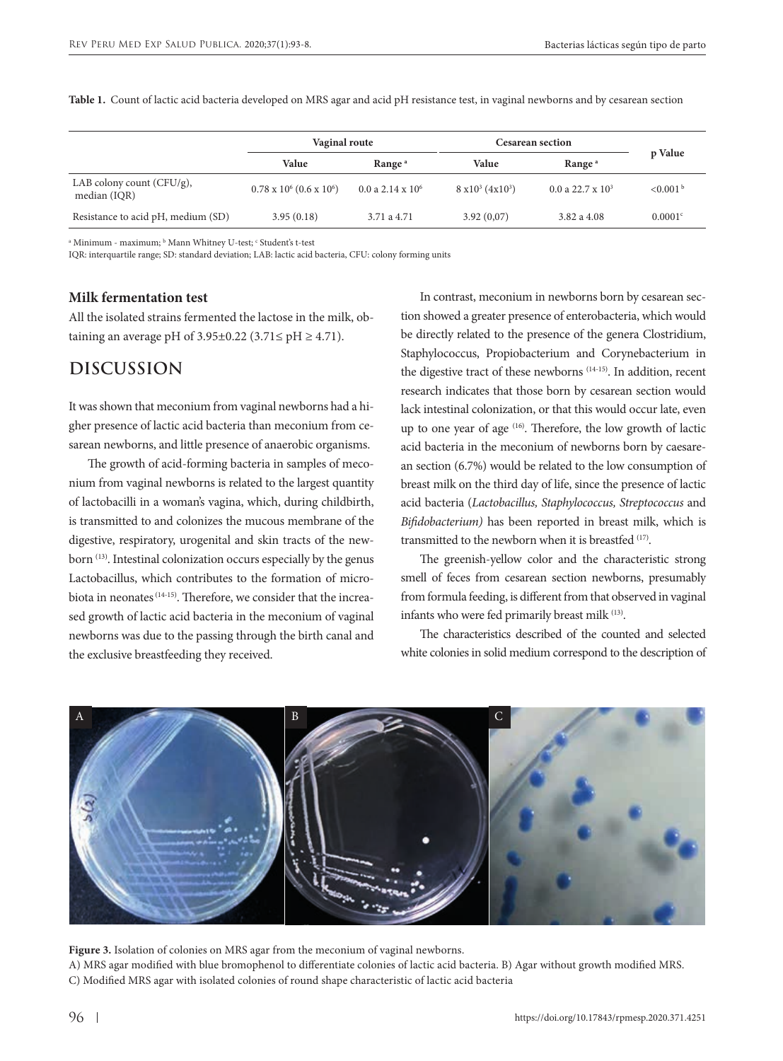|                                              | Vaginal route                        |                            | <b>Cesarean section</b>         |                       |                      |
|----------------------------------------------|--------------------------------------|----------------------------|---------------------------------|-----------------------|----------------------|
|                                              | Value                                | Range <sup>a</sup>         | Value                           | Range <sup>a</sup>    | p Value              |
| LAB colony count $(CFU/g)$ ,<br>median (IQR) | $0.78 \times 10^6 (0.6 \times 10^6)$ | $0.0$ a $2.14 \times 10^6$ | $8 \times 10^3 (4 \times 10^3)$ | $0.0$ a 22.7 x $10^3$ | < 0.001 <sup>b</sup> |
| Resistance to acid pH, medium (SD)           | 3.95(0.18)                           | 3.71 a 4.71                | 3.92(0,07)                      | 3.82 a 4.08           | 0.0001 <sup>c</sup>  |

**Table 1.** Count of lactic acid bacteria developed on MRS agar and acid pH resistance test, in vaginal newborns and by cesarean section

a Minimum - maximum; <sup>ь</sup> Mann Whitney U-test; <sup>с</sup> Student's t-test

IQR: interquartile range; SD: standard deviation; LAB: lactic acid bacteria, CFU: colony forming units

#### **Milk fermentation test**

All the isolated strains fermented the lactose in the milk, obtaining an average pH of  $3.95\pm0.22$  ( $3.71 \le pH \ge 4.71$ ).

# **DISCUSSION**

It was shown that meconium from vaginal newborns had a higher presence of lactic acid bacteria than meconium from cesarean newborns, and little presence of anaerobic organisms.

The growth of acid-forming bacteria in samples of meconium from vaginal newborns is related to the largest quantity of lactobacilli in a woman's vagina, which, during childbirth, is transmitted to and colonizes the mucous membrane of the digestive, respiratory, urogenital and skin tracts of the newborn <sup>(13)</sup>. Intestinal colonization occurs especially by the genus Lactobacillus, which contributes to the formation of microbiota in neonates (14-15). Therefore, we consider that the increased growth of lactic acid bacteria in the meconium of vaginal newborns was due to the passing through the birth canal and the exclusive breastfeeding they received.

In contrast, meconium in newborns born by cesarean section showed a greater presence of enterobacteria, which would be directly related to the presence of the genera Clostridium, Staphylococcus, Propiobacterium and Corynebacterium in the digestive tract of these newborns (14-15). In addition, recent research indicates that those born by cesarean section would lack intestinal colonization, or that this would occur late, even up to one year of age (16). Therefore, the low growth of lactic acid bacteria in the meconium of newborns born by caesarean section (6.7%) would be related to the low consumption of breast milk on the third day of life, since the presence of lactic acid bacteria (*Lactobacillus, Staphylococcus, Streptococcus* and *Bifidobacterium)* has been reported in breast milk, which is transmitted to the newborn when it is breastfed (17).

The greenish-yellow color and the characteristic strong smell of feces from cesarean section newborns, presumably from formula feeding, is different from that observed in vaginal infants who were fed primarily breast milk (13).

The characteristics described of the counted and selected white colonies in solid medium correspond to the description of



**Figure 3.** Isolation of colonies on MRS agar from the meconium of vaginal newborns. A) MRS agar modified with blue bromophenol to differentiate colonies of lactic acid bacteria. B) Agar without growth modified MRS. C) Modified MRS agar with isolated colonies of round shape characteristic of lactic acid bacteria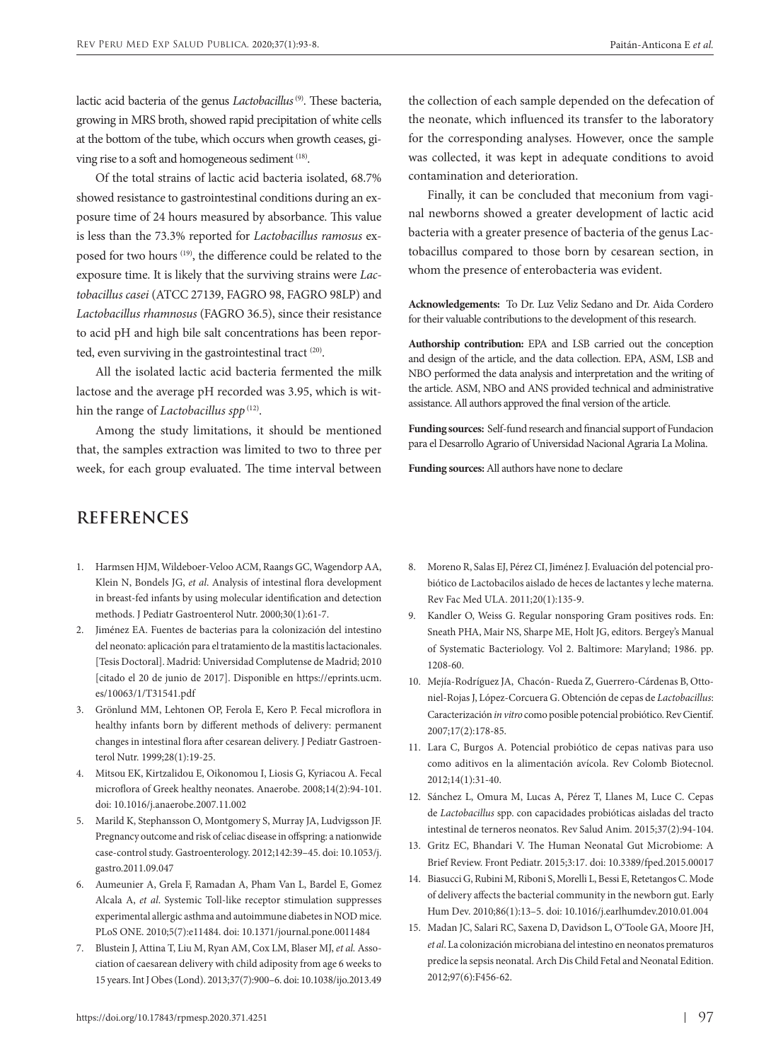lactic acid bacteria of the genus *Lactobacillus* (9). These bacteria, growing in MRS broth, showed rapid precipitation of white cells at the bottom of the tube, which occurs when growth ceases, giving rise to a soft and homogeneous sediment (18).

Of the total strains of lactic acid bacteria isolated, 68.7% showed resistance to gastrointestinal conditions during an exposure time of 24 hours measured by absorbance. This value is less than the 73.3% reported for *Lactobacillus ramosus* exposed for two hours (19), the difference could be related to the exposure time. It is likely that the surviving strains were *Lactobacillus casei* (ATCC 27139, FAGRO 98, FAGRO 98LP) and *Lactobacillus rhamnosus* (FAGRO 36.5), since their resistance to acid pH and high bile salt concentrations has been reported, even surviving in the gastrointestinal tract <sup>(20)</sup>.

All the isolated lactic acid bacteria fermented the milk lactose and the average pH recorded was 3.95, which is within the range of *Lactobacillus spp*<sup>(12)</sup>.

Among the study limitations, it should be mentioned that, the samples extraction was limited to two to three per week, for each group evaluated. The time interval between

the collection of each sample depended on the defecation of the neonate, which influenced its transfer to the laboratory for the corresponding analyses. However, once the sample was collected, it was kept in adequate conditions to avoid contamination and deterioration.

Finally, it can be concluded that meconium from vaginal newborns showed a greater development of lactic acid bacteria with a greater presence of bacteria of the genus Lactobacillus compared to those born by cesarean section, in whom the presence of enterobacteria was evident.

**Acknowledgements:** To Dr. Luz Veliz Sedano and Dr. Aida Cordero for their valuable contributions to the development of this research.

**Authorship contribution:** EPA and LSB carried out the conception and design of the article, and the data collection. EPA, ASM, LSB and NBO performed the data analysis and interpretation and the writing of the article. ASM, NBO and ANS provided technical and administrative assistance. All authors approved the final version of the article.

**Funding sources:** Self-fund research and financial support of Fundacion para el Desarrollo Agrario of Universidad Nacional Agraria La Molina.

**Funding sources:** All authors have none to declare

# **REFERENCES**

- 1. Harmsen HJM, Wildeboer-Veloo ACM, Raangs GC, Wagendorp AA, Klein N, Bondels JG, *et al*. Analysis of intestinal flora development in breast-fed infants by using molecular identification and detection methods. J Pediatr Gastroenterol Nutr. 2000;30(1):61-7.
- 2. Jiménez EA. Fuentes de bacterias para la colonización del intestino del neonato: aplicación para el tratamiento de la mastitis lactacionales. [Tesis Doctoral]. Madrid: Universidad Complutense de Madrid; 2010 [citado el 20 de junio de 2017]. Disponible en [https://eprints.ucm.](https://eprints.ucm.es/10063/1/T31541.pdf) [es/10063/1/T31541.pdf](https://eprints.ucm.es/10063/1/T31541.pdf)
- 3. Grönlund MM, Lehtonen OP, Ferola E, Kero P. Fecal microflora in healthy infants born by different methods of delivery: permanent changes in intestinal flora after cesarean delivery. J Pediatr Gastroenterol Nutr. 1999;28(1):19-25.
- 4. Mitsou EK, Kirtzalidou E, Oikonomou I, Liosis G, Kyriacou A. Fecal microflora of Greek healthy neonates. Anaerobe. 2008;14(2):94-101. doi: 10.1016/j.anaerobe.2007.11.002
- 5. Marild K, Stephansson O, Montgomery S, Murray JA, Ludvigsson JF. Pregnancy outcome and risk of celiac disease in offspring: a nationwide case-control study. Gastroenterology. 2012;142:39–45. doi: 10.1053/j. gastro.2011.09.047
- 6. Aumeunier A, Grela F, Ramadan A, Pham Van L, Bardel E, Gomez Alcala A, *et al*. Systemic Toll-like receptor stimulation suppresses experimental allergic asthma and autoimmune diabetes in NOD mice. PLoS ONE. 2010;5(7):e11484. doi: 10.1371/journal.pone.0011484
- 7. Blustein J, Attina T, Liu M, Ryan AM, Cox LM, Blaser MJ, *et al.* Association of caesarean delivery with child adiposity from age 6 weeks to 15 years. Int J Obes (Lond). 2013;37(7):900–6. doi: 10.1038/ijo.2013.49
- 8. Moreno R, Salas EJ, Pérez CI, Jiménez J. Evaluación del potencial probiótico de Lactobacilos aislado de heces de lactantes y leche materna. Rev Fac Med ULA. 2011;20(1):135-9.
- 9. Kandler O, Weiss G. Regular nonsporing Gram positives rods. En: Sneath PHA, Mair NS, Sharpe ME, Holt JG, editors. Bergey's Manual of Systematic Bacteriology. Vol 2. Baltimore: Maryland; 1986. pp. 1208-60.
- 10. Mejía-Rodríguez JA, Chacón- Rueda Z, Guerrero-Cárdenas B, Ottoniel-Rojas J, López-Corcuera G. Obtención de cepas de *Lactobacillus*: Caracterización *in vitro* como posible potencial probiótico. Rev Cientif. 2007;17(2):178-85.
- 11. Lara C, Burgos A. Potencial probiótico de cepas nativas para uso como aditivos en la alimentación avícola. Rev Colomb Biotecnol. 2012;14(1):31-40.
- 12. Sánchez L, Omura M, Lucas A, Pérez T, Llanes M, Luce C. Cepas de *Lactobacillus* spp. con capacidades probióticas aisladas del tracto intestinal de terneros neonatos. Rev Salud Anim. 2015;37(2):94-104.
- 13. Gritz EC, Bhandari V. The Human Neonatal Gut Microbiome: A Brief Review. [Front Pediatr](https://www.ncbi.nlm.nih.gov/pmc/articles/PMC4485073/). 2015;3:17. doi: 10.3389/fped.2015.00017
- 14. Biasucci G, Rubini M, Riboni S, Morelli L, Bessi E, Retetangos C. Mode of delivery affects the bacterial community in the newborn gut. Early Hum Dev. 2010;86(1):13–5. doi: 10.1016/j.earlhumdev.2010.01.004
- 15. Madan JC, Salari RC, Saxena D, Davidson L, O'Toole GA, Moore JH, *et al*. La colonización microbiana del intestino en neonatos prematuros predice la sepsis neonatal. Arch Dis Child Fetal and Neonatal Edition. 2012;97(6):F456-62.